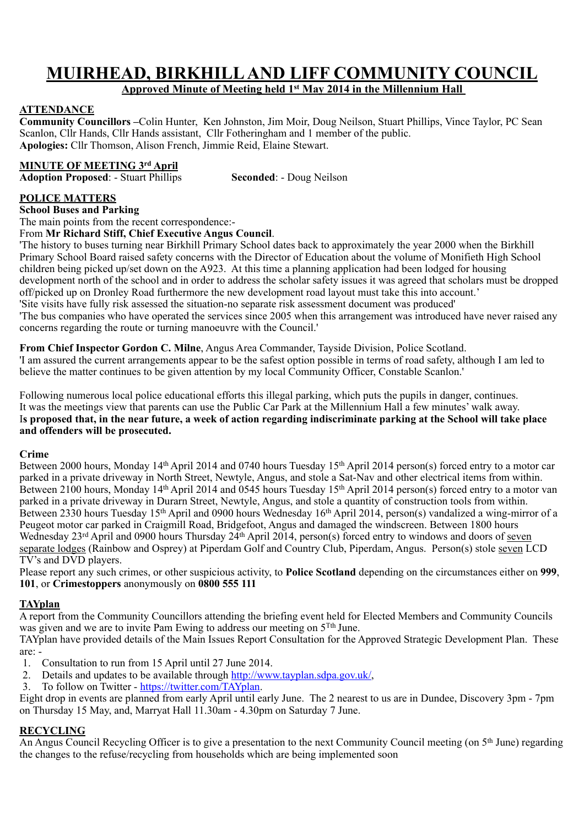## **MUIRHEAD, BIRKHILL AND LIFF COMMUNITY COUNCIL**

**Approved Minute of Meeting held 1st May 2014 in the Millennium Hall** 

#### **ATTENDANCE**

**Community Councillors –**Colin Hunter, Ken Johnston, Jim Moir, Doug Neilson, Stuart Phillips, Vince Taylor, PC Sean Scanlon, Cllr Hands, Cllr Hands assistant, Cllr Fotheringham and 1 member of the public. **Apologies:** Cllr Thomson, Alison French, Jimmie Reid, Elaine Stewart.

#### **MINUTE OF MEETING 3rd April**

**Adoption Proposed**: - Stuart Phillips **Seconded**: - Doug Neilson

#### **POLICE MATTERS**

**School Buses and Parking**

The main points from the recent correspondence:-

From **Mr Richard Stiff, Chief Executive Angus Council**.

'The history to buses turning near Birkhill Primary School dates back to approximately the year 2000 when the Birkhill Primary School Board raised safety concerns with the Director of Education about the volume of Monifieth High School children being picked up/set down on the A923. At this time a planning application had been lodged for housing development north of the school and in order to address the scholar safety issues it was agreed that scholars must be dropped off/picked up on Dronley Road furthermore the new development road layout must take this into account.' 'Site visits have fully risk assessed the situation-no separate risk assessment document was produced' 'The bus companies who have operated the services since 2005 when this arrangement was introduced have never raised any

concerns regarding the route or turning manoeuvre with the Council.'

**From Chief Inspector Gordon C. Milne**, Angus Area Commander, Tayside Division, Police Scotland. 'I am assured the current arrangements appear to be the safest option possible in terms of road safety, although I am led to believe the matter continues to be given attention by my local Community Officer, Constable Scanlon.'

Following numerous local police educational efforts this illegal parking, which puts the pupils in danger, continues. It was the meetings view that parents can use the Public Car Park at the Millennium Hall a few minutes' walk away. I**s proposed that, in the near future, a week of action regarding indiscriminate parking at the School will take place and offenders will be prosecuted.**

#### **Crime**

Between 2000 hours, Monday 14<sup>th</sup> April 2014 and 0740 hours Tuesday 15<sup>th</sup> April 2014 person(s) forced entry to a motor car parked in a private driveway in North Street, Newtyle, Angus, and stole a Sat-Nav and other electrical items from within. Between 2100 hours, Monday 14<sup>th</sup> April 2014 and 0545 hours Tuesday 15<sup>th</sup> April 2014 person(s) forced entry to a motor van parked in a private driveway in Durarn Street, Newtyle, Angus, and stole a quantity of construction tools from within. Between 2330 hours Tuesday 15th April and 0900 hours Wednesday 16th April 2014, person(s) vandalized a wing-mirror of a Peugeot motor car parked in Craigmill Road, Bridgefoot, Angus and damaged the windscreen. Between 1800 hours Wednesday 23<sup>rd</sup> April and 0900 hours Thursday 24<sup>th</sup> April 2014, person(s) forced entry to windows and doors of seven separate lodges (Rainbow and Osprey) at Piperdam Golf and Country Club, Piperdam, Angus. Person(s) stole seven LCD TV's and DVD players.

Please report any such crimes, or other suspicious activity, to **Police Scotland** depending on the circumstances either on **999**, **101**, or **Crimestoppers** anonymously on **0800 555 111**

#### **TAYplan**

A report from the Community Councillors attending the briefing event held for Elected Members and Community Councils was given and we are to invite Pam Ewing to address our meeting on 5<sup>Tth</sup> June.

TAYplan have provided details of the Main Issues Report Consultation for the Approved Strategic Development Plan. These are: -

- 1. Consultation to run from 15 April until 27 June 2014.
- 2. Details and updates to be available through <http://www.tayplan.sdpa.gov.uk/>.
- 3. To follow on Twitter [https://twitter.com/TAYplan.](https://twitter.com/tayplan)

Eight drop in events are planned from early April until early June. The 2 nearest to us are in Dundee, Discovery 3pm - 7pm on Thursday 15 May, and, Marryat Hall 11.30am - 4.30pm on Saturday 7 June.

#### **RECYCLING**

An Angus Council Recycling Officer is to give a presentation to the next Community Council meeting (on 5th June) regarding the changes to the refuse/recycling from households which are being implemented soon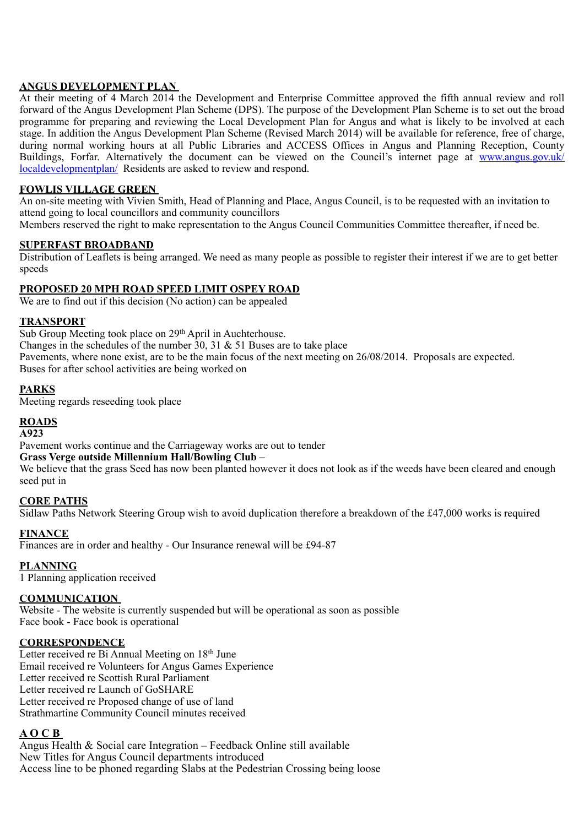#### **ANGUS DEVELOPMENT PLAN**

At their meeting of 4 March 2014 the Development and Enterprise Committee approved the fifth annual review and roll forward of the Angus Development Plan Scheme (DPS). The purpose of the Development Plan Scheme is to set out the broad programme for preparing and reviewing the Local Development Plan for Angus and what is likely to be involved at each stage. In addition the Angus Development Plan Scheme (Revised March 2014) will be available for reference, free of charge, during normal working hours at all Public Libraries and ACCESS Offices in Angus and Planning Reception, County [Buildings, Forfar. Alternatively the document can be viewed on the Council's internet page at www.angus.gov.uk/](http://www.angus.gov.uk/localdevelopmentplan/) localdevelopmentplan/ Residents are asked to review and respond.

#### **FOWLIS VILLAGE GREEN**

An on-site meeting with Vivien Smith, Head of Planning and Place, Angus Council, is to be requested with an invitation to attend going to local councillors and community councillors

Members reserved the right to make representation to the Angus Council Communities Committee thereafter, if need be.

#### **SUPERFAST BROADBAND**

Distribution of Leaflets is being arranged. We need as many people as possible to register their interest if we are to get better speeds

#### **PROPOSED 20 MPH ROAD SPEED LIMIT OSPEY ROAD**

We are to find out if this decision (No action) can be appealed

#### **TRANSPORT**

Sub Group Meeting took place on 29<sup>th</sup> April in Auchterhouse. Changes in the schedules of the number  $30$ ,  $31 \& 51$  Buses are to take place Pavements, where none exist, are to be the main focus of the next meeting on  $26/08/2014$ . Proposals are expected. Buses for after school activities are being worked on

#### **PARKS**

Meeting regards reseeding took place

#### **ROADS**

#### **A923**

Pavement works continue and the Carriageway works are out to tender

#### **Grass Verge outside Millennium Hall/Bowling Club –**

We believe that the grass Seed has now been planted however it does not look as if the weeds have been cleared and enough seed put in

#### **CORE PATHS**

Sidlaw Paths Network Steering Group wish to avoid duplication therefore a breakdown of the £47,000 works is required

#### **FINANCE**

Finances are in order and healthy - Our Insurance renewal will be £94-87

#### **PLANNING**

1 Planning application received

#### **COMMUNICATION**

Website - The website is currently suspended but will be operational as soon as possible Face book - Face book is operational

#### **CORRESPONDENCE**

Letter received re Bi Annual Meeting on 18<sup>th</sup> June Email received re Volunteers for Angus Games Experience Letter received re Scottish Rural Parliament Letter received re Launch of GoSHARE Letter received re Proposed change of use of land Strathmartine Community Council minutes received

#### **A O C B**

Angus Health & Social care Integration – Feedback Online still available New Titles for Angus Council departments introduced Access line to be phoned regarding Slabs at the Pedestrian Crossing being loose